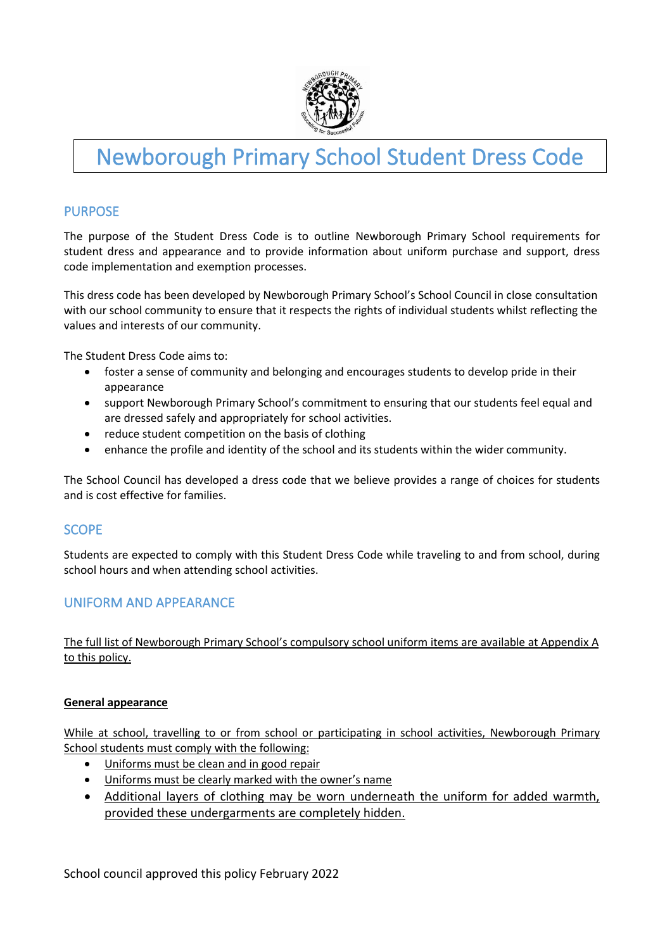

# Newborough Primary School Student Dress Code

# PURPOSE

The purpose of the Student Dress Code is to outline Newborough Primary School requirements for student dress and appearance and to provide information about uniform purchase and support, dress code implementation and exemption processes.

This dress code has been developed by Newborough Primary School's School Council in close consultation with our school community to ensure that it respects the rights of individual students whilst reflecting the values and interests of our community.

The Student Dress Code aims to:

- foster a sense of community and belonging and encourages students to develop pride in their appearance
- support Newborough Primary School's commitment to ensuring that our students feel equal and are dressed safely and appropriately for school activities.
- reduce student competition on the basis of clothing
- enhance the profile and identity of the school and its students within the wider community.

The School Council has developed a dress code that we believe provides a range of choices for students and is cost effective for families.

#### SCOPE

Students are expected to comply with this Student Dress Code while traveling to and from school, during school hours and when attending school activities.

# UNIFORM AND APPEARANCE

The full list of Newborough Primary School's compulsory school uniform items are available at Appendix A to this policy.

#### **General appearance**

While at school, travelling to or from school or participating in school activities, Newborough Primary School students must comply with the following:

- Uniforms must be clean and in good repair
- Uniforms must be clearly marked with the owner's name
- Additional layers of clothing may be worn underneath the uniform for added warmth, provided these undergarments are completely hidden.

School council approved this policy February 2022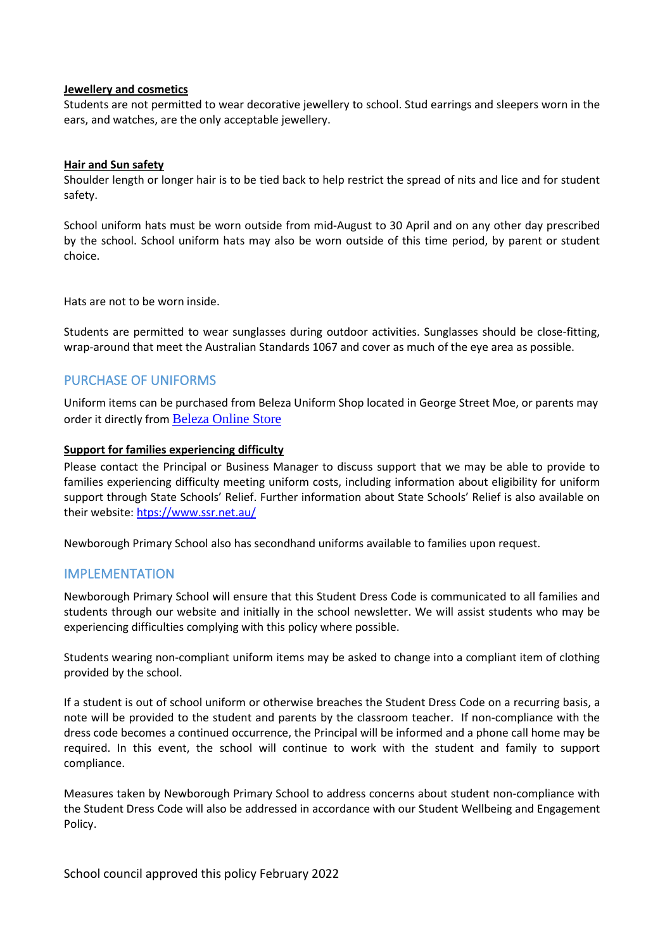#### **Jewellery and cosmetics**

Students are not permitted to wear decorative jewellery to school. Stud earrings and sleepers worn in the ears, and watches, are the only acceptable jewellery.

#### **Hair and Sun safety**

Shoulder length or longer hair is to be tied back to help restrict the spread of nits and lice and for student safety.

School uniform hats must be worn outside from mid-August to 30 April and on any other day prescribed by the school. School uniform hats may also be worn outside of this time period, by parent or student choice.

Hats are not to be worn inside.

Students are permitted to wear sunglasses during outdoor activities. Sunglasses should be close-fitting, wrap-around that meet the Australian Standards 1067 and cover as much of the eye area as possible.

#### PURCHASE OF UNIFORMS

Uniform items can be purchased from Beleza Uniform Shop located in George Street Moe, or parents may order it directly from [Beleza Online Store](https://store.beleza.com.au/)

#### **Support for families experiencing difficulty**

Please contact the Principal or Business Manager to discuss support that we may be able to provide to families experiencing difficulty meeting uniform costs, including information about eligibility for uniform support through State Schools' Relief. Further information about State Schools' Relief is also available on their website: [htps://www.ssr.net.au/](https://www.ssr.net.au/)

Newborough Primary School also has secondhand uniforms available to families upon request.

#### IMPLEMENTATION

Newborough Primary School will ensure that this Student Dress Code is communicated to all families and students through our website and initially in the school newsletter. We will assist students who may be experiencing difficulties complying with this policy where possible.

Students wearing non-compliant uniform items may be asked to change into a compliant item of clothing provided by the school.

If a student is out of school uniform or otherwise breaches the Student Dress Code on a recurring basis, a note will be provided to the student and parents by the classroom teacher. If non-compliance with the dress code becomes a continued occurrence, the Principal will be informed and a phone call home may be required. In this event, the school will continue to work with the student and family to support compliance.

Measures taken by Newborough Primary School to address concerns about student non-compliance with the Student Dress Code will also be addressed in accordance with our Student Wellbeing and Engagement Policy.

School council approved this policy February 2022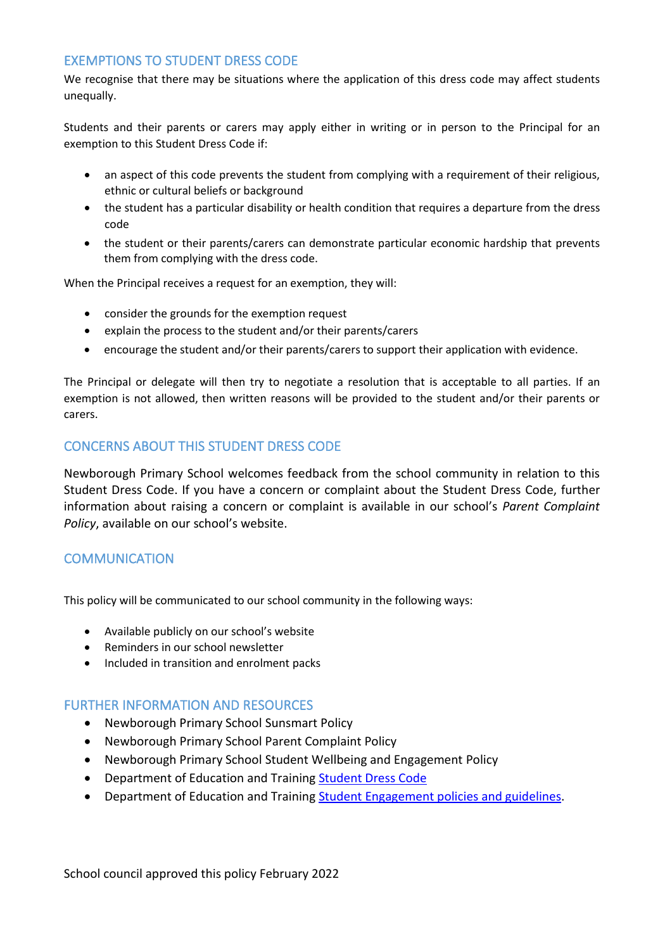### EXEMPTIONS TO STUDENT DRESS CODE

We recognise that there may be situations where the application of this dress code may affect students unequally.

Students and their parents or carers may apply either in writing or in person to the Principal for an exemption to this Student Dress Code if:

- an aspect of this code prevents the student from complying with a requirement of their religious, ethnic or cultural beliefs or background
- the student has a particular disability or health condition that requires a departure from the dress code
- the student or their parents/carers can demonstrate particular economic hardship that prevents them from complying with the dress code.

When the Principal receives a request for an exemption, they will:

- consider the grounds for the exemption request
- explain the process to the student and/or their parents/carers
- encourage the student and/or their parents/carers to support their application with evidence.

The Principal or delegate will then try to negotiate a resolution that is acceptable to all parties. If an exemption is not allowed, then written reasons will be provided to the student and/or their parents or carers.

# CONCERNS ABOUT THIS STUDENT DRESS CODE

Newborough Primary School welcomes feedback from the school community in relation to this Student Dress Code. If you have a concern or complaint about the Student Dress Code, further information about raising a concern or complaint is available in our school's *Parent Complaint Policy*, available on our school's website.

# **COMMUNICATION**

This policy will be communicated to our school community in the following ways:

- Available publicly on our school's website
- Reminders in our school newsletter
- Included in transition and enrolment packs

#### FURTHER INFORMATION AND RESOURCES

- Newborough Primary School Sunsmart Policy
- Newborough Primary School Parent Complaint Policy
- Newborough Primary School Student Wellbeing and Engagement Policy
- Department of Education and Training [Student Dress Code](https://www2.education.vic.gov.au/pal/student-dress-code/policy)
- Department of Education and Training [Student Engagement policies and guidelines.](https://www2.education.vic.gov.au/pal/student-engagement/policy)

School council approved this policy February 2022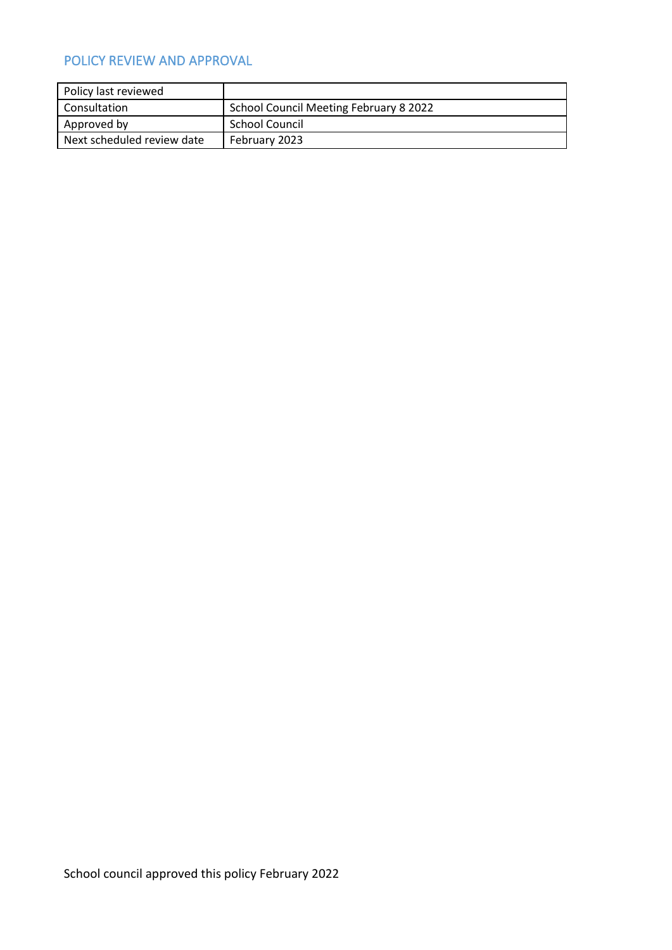# POLICY REVIEW AND APPROVAL

| Policy last reviewed       |                                        |
|----------------------------|----------------------------------------|
| <b>Consultation</b>        | School Council Meeting February 8 2022 |
| Approved by                | School Council                         |
| Next scheduled review date | February 2023                          |